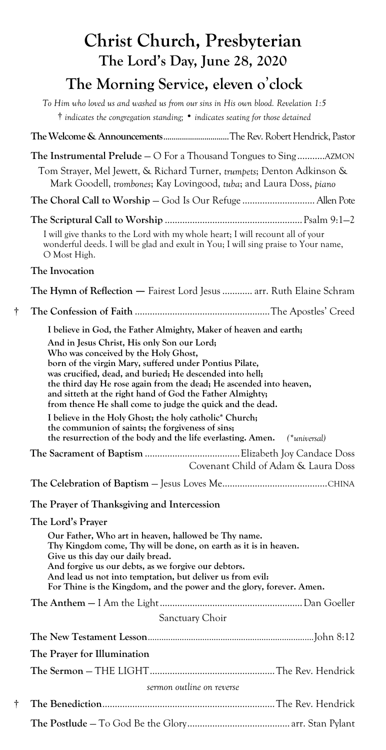|   | Christ Church, Presbyterian                                                                                                                                                                                                                                                                                                                                                                                                                                                                                                                                                                                                                                                       |
|---|-----------------------------------------------------------------------------------------------------------------------------------------------------------------------------------------------------------------------------------------------------------------------------------------------------------------------------------------------------------------------------------------------------------------------------------------------------------------------------------------------------------------------------------------------------------------------------------------------------------------------------------------------------------------------------------|
|   | The Lord's Day, June 28, 2020                                                                                                                                                                                                                                                                                                                                                                                                                                                                                                                                                                                                                                                     |
|   | The Morning Service, eleven o'clock                                                                                                                                                                                                                                                                                                                                                                                                                                                                                                                                                                                                                                               |
|   | To Him who loved us and washed us from our sins in His own blood. Revelation 1:5<br>$\dagger$ indicates the congregation standing; $\bullet$ indicates seating for those detained                                                                                                                                                                                                                                                                                                                                                                                                                                                                                                 |
|   | The Welcome & AnnouncementsThe Rev. Robert Hendrick, Pastor                                                                                                                                                                                                                                                                                                                                                                                                                                                                                                                                                                                                                       |
|   | The Instrumental Prelude - O For a Thousand Tongues to SingAZMON<br>Tom Strayer, Mel Jewett, & Richard Turner, trumpets; Denton Adkinson &<br>Mark Goodell, trombones; Kay Lovingood, tuba; and Laura Doss, piano                                                                                                                                                                                                                                                                                                                                                                                                                                                                 |
|   |                                                                                                                                                                                                                                                                                                                                                                                                                                                                                                                                                                                                                                                                                   |
|   |                                                                                                                                                                                                                                                                                                                                                                                                                                                                                                                                                                                                                                                                                   |
|   | I will give thanks to the Lord with my whole heart; I will recount all of your<br>wonderful deeds. I will be glad and exult in You; I will sing praise to Your name,<br>O Most High.                                                                                                                                                                                                                                                                                                                                                                                                                                                                                              |
|   | The Invocation                                                                                                                                                                                                                                                                                                                                                                                                                                                                                                                                                                                                                                                                    |
|   | The Hymn of Reflection — Fairest Lord Jesus  arr. Ruth Elaine Schram                                                                                                                                                                                                                                                                                                                                                                                                                                                                                                                                                                                                              |
| t |                                                                                                                                                                                                                                                                                                                                                                                                                                                                                                                                                                                                                                                                                   |
|   | I believe in God, the Father Almighty, Maker of heaven and earth;<br>And in Jesus Christ, His only Son our Lord;<br>Who was conceived by the Holy Ghost,<br>born of the virgin Mary, suffered under Pontius Pilate,<br>was crucified, dead, and buried; He descended into hell;<br>the third day He rose again from the dead; He ascended into heaven,<br>and sitteth at the right hand of God the Father Almighty;<br>from thence He shall come to judge the quick and the dead.<br>I believe in the Holy Ghost; the holy catholic* Church;<br>the communion of saints; the forgiveness of sins;<br>the resurrection of the body and the life everlasting. Amen.<br>(*universal) |
|   | Covenant Child of Adam & Laura Doss                                                                                                                                                                                                                                                                                                                                                                                                                                                                                                                                                                                                                                               |
|   |                                                                                                                                                                                                                                                                                                                                                                                                                                                                                                                                                                                                                                                                                   |
|   | The Prayer of Thanksgiving and Intercession                                                                                                                                                                                                                                                                                                                                                                                                                                                                                                                                                                                                                                       |
|   | The Lord's Prayer<br>Our Father, Who art in heaven, hallowed be Thy name.<br>Thy Kingdom come, Thy will be done, on earth as it is in heaven.<br>Give us this day our daily bread.<br>And forgive us our debts, as we forgive our debtors.<br>And lead us not into temptation, but deliver us from evil:<br>For Thine is the Kingdom, and the power and the glory, forever. Amen.                                                                                                                                                                                                                                                                                                 |
|   |                                                                                                                                                                                                                                                                                                                                                                                                                                                                                                                                                                                                                                                                                   |
|   | Sanctuary Choir                                                                                                                                                                                                                                                                                                                                                                                                                                                                                                                                                                                                                                                                   |
|   |                                                                                                                                                                                                                                                                                                                                                                                                                                                                                                                                                                                                                                                                                   |
|   | The Prayer for Illumination                                                                                                                                                                                                                                                                                                                                                                                                                                                                                                                                                                                                                                                       |
|   |                                                                                                                                                                                                                                                                                                                                                                                                                                                                                                                                                                                                                                                                                   |
|   | sermon outline on reverse                                                                                                                                                                                                                                                                                                                                                                                                                                                                                                                                                                                                                                                         |
| t |                                                                                                                                                                                                                                                                                                                                                                                                                                                                                                                                                                                                                                                                                   |
|   |                                                                                                                                                                                                                                                                                                                                                                                                                                                                                                                                                                                                                                                                                   |